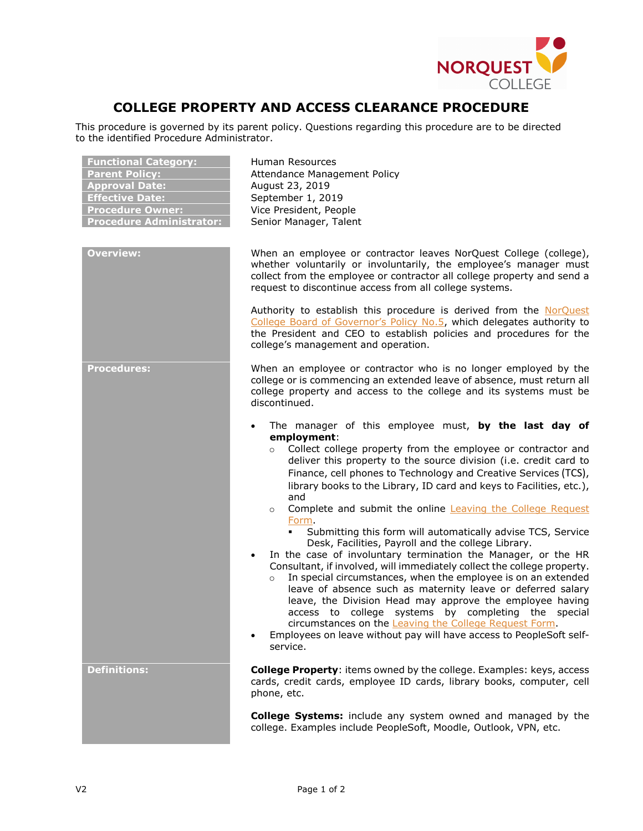

## **COLLEGE PROPERTY AND ACCESS CLEARANCE PROCEDURE**

This procedure is governed by its parent policy. Questions regarding this procedure are to be directed to the identified Procedure Administrator.

| <b>Functional Category:</b><br><b>Parent Policy:</b><br><b>Approval Date:</b><br><b>Effective Date:</b><br><b>Procedure Owner:</b><br><b>Procedure Administrator:</b> | Human Resources<br>Attendance Management Policy<br>August 23, 2019<br>September 1, 2019<br>Vice President, People<br>Senior Manager, Talent                                                                                                                                                                                                                                                                                                                                                                                                                                                                                                                                           |
|-----------------------------------------------------------------------------------------------------------------------------------------------------------------------|---------------------------------------------------------------------------------------------------------------------------------------------------------------------------------------------------------------------------------------------------------------------------------------------------------------------------------------------------------------------------------------------------------------------------------------------------------------------------------------------------------------------------------------------------------------------------------------------------------------------------------------------------------------------------------------|
| <b>Overview:</b>                                                                                                                                                      | When an employee or contractor leaves NorQuest College (college),<br>whether voluntarily or involuntarily, the employee's manager must<br>collect from the employee or contractor all college property and send a<br>request to discontinue access from all college systems.                                                                                                                                                                                                                                                                                                                                                                                                          |
|                                                                                                                                                                       | Authority to establish this procedure is derived from the NorQuest<br>College Board of Governor's Policy No.5, which delegates authority to<br>the President and CEO to establish policies and procedures for the<br>college's management and operation.                                                                                                                                                                                                                                                                                                                                                                                                                              |
| <b>Procedures:</b>                                                                                                                                                    | When an employee or contractor who is no longer employed by the<br>college or is commencing an extended leave of absence, must return all<br>college property and access to the college and its systems must be<br>discontinued.                                                                                                                                                                                                                                                                                                                                                                                                                                                      |
|                                                                                                                                                                       | The manager of this employee must, by the last day of<br>$\bullet$<br>employment:<br>Collect college property from the employee or contractor and<br>deliver this property to the source division (i.e. credit card to<br>Finance, cell phones to Technology and Creative Services (TCS),<br>library books to the Library, ID card and keys to Facilities, etc.),<br>and<br>Complete and submit the online <b>Leaving the College Request</b><br>$\circ$<br>Form.                                                                                                                                                                                                                     |
|                                                                                                                                                                       | Submitting this form will automatically advise TCS, Service<br>Desk, Facilities, Payroll and the college Library.<br>In the case of involuntary termination the Manager, or the HR<br>Consultant, if involved, will immediately collect the college property.<br>In special circumstances, when the employee is on an extended<br>$\circ$<br>leave of absence such as maternity leave or deferred salary<br>leave, the Division Head may approve the employee having<br>access to college systems by completing the special<br>circumstances on the Leaving the College Request Form.<br>Employees on leave without pay will have access to PeopleSoft self-<br>$\bullet$<br>service. |
| <b>Definitions:</b>                                                                                                                                                   | <b>College Property:</b> items owned by the college. Examples: keys, access<br>cards, credit cards, employee ID cards, library books, computer, cell<br>phone, etc.                                                                                                                                                                                                                                                                                                                                                                                                                                                                                                                   |
|                                                                                                                                                                       | <b>College Systems:</b> include any system owned and managed by the<br>college. Examples include PeopleSoft, Moodle, Outlook, VPN, etc.                                                                                                                                                                                                                                                                                                                                                                                                                                                                                                                                               |